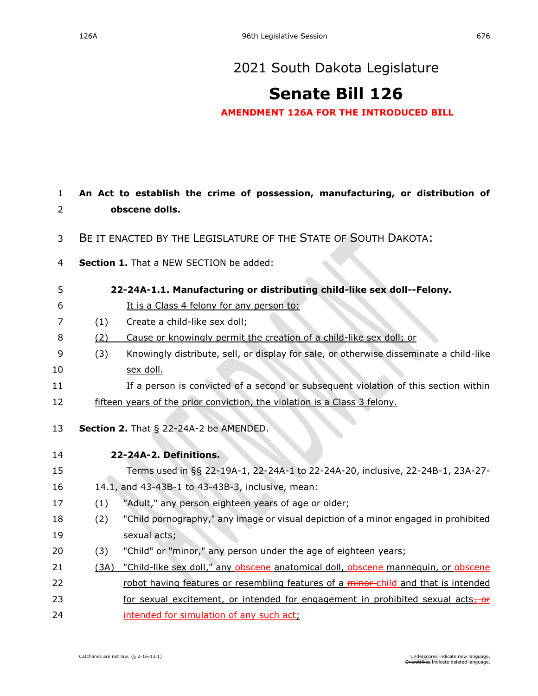## [2021 South Dakota Legislature](https://sdlegislature.gov/Session/Bills/44)

## **[Senate Bill 126](https://sdlegislature.gov/Session/Bill/22193)**

**AMENDMENT 126A FOR THE INTRODUCED BILL**

| $\mathbf{1}$   | An Act to establish the crime of possession, manufacturing, or distribution of |                                                                                        |  |  |  |
|----------------|--------------------------------------------------------------------------------|----------------------------------------------------------------------------------------|--|--|--|
| 2              | obscene dolls.                                                                 |                                                                                        |  |  |  |
| 3              | BE IT ENACTED BY THE LEGISLATURE OF THE STATE OF SOUTH DAKOTA:                 |                                                                                        |  |  |  |
| $\overline{4}$ | Section 1. That a NEW SECTION be added:                                        |                                                                                        |  |  |  |
| 5              | 22-24A-1.1. Manufacturing or distributing child-like sex doll--Felony.         |                                                                                        |  |  |  |
| 6              |                                                                                | It is a Class 4 felony for any person to:                                              |  |  |  |
| 7              | (1)                                                                            | Create a child-like sex doll;                                                          |  |  |  |
| 8              | (2)                                                                            | Cause or knowingly permit the creation of a child-like sex doll; or                    |  |  |  |
| 9              | (3)                                                                            | Knowingly distribute, sell, or display for sale, or otherwise disseminate a child-like |  |  |  |
| 10             |                                                                                | sex doll.                                                                              |  |  |  |
| 11             |                                                                                | If a person is convicted of a second or subsequent violation of this section within    |  |  |  |
| 12             | fifteen years of the prior conviction, the violation is a Class 3 felony.      |                                                                                        |  |  |  |
| 13             |                                                                                | <b>Section 2.</b> That $\S$ 22-24A-2 be AMENDED.                                       |  |  |  |
| 14             |                                                                                | 22-24A-2. Definitions.                                                                 |  |  |  |
| 15             |                                                                                | Terms used in §§ 22-19A-1, 22-24A-1 to 22-24A-20, inclusive, 22-24B-1, 23A-27-         |  |  |  |
| 16             |                                                                                | 14.1, and 43-43B-1 to 43-43B-3, inclusive, mean:                                       |  |  |  |
| 17             | (1)                                                                            | "Adult," any person eighteen years of age or older;                                    |  |  |  |
| 18             | (2)                                                                            | "Child pornography," any image or visual depiction of a minor engaged in prohibited    |  |  |  |
| 19             |                                                                                | sexual acts;                                                                           |  |  |  |
| 20             | (3)                                                                            | "Child" or "minor," any person under the age of eighteen years;                        |  |  |  |
| 21             | (3A)                                                                           | "Child-like sex doll," any obscene anatomical doll, obscene mannequin, or obscene      |  |  |  |
| 22             |                                                                                | robot having features or resembling features of a minor-child and that is intended     |  |  |  |
| 23             |                                                                                | for sexual excitement, or intended for engagement in prohibited sexual acts, or        |  |  |  |
| 24             |                                                                                | intended for simulation of any such act;                                               |  |  |  |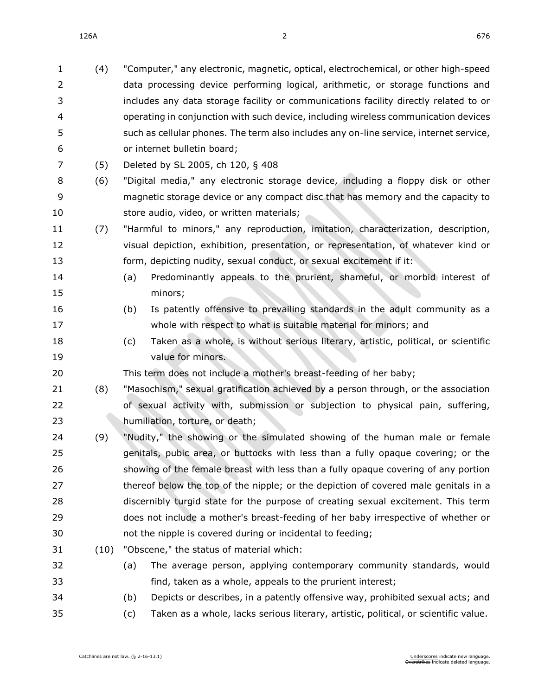126A 2 676

| $\mathbf{1}$ | (4)  |     | "Computer," any electronic, magnetic, optical, electrochemical, or other high-speed    |
|--------------|------|-----|----------------------------------------------------------------------------------------|
| 2            |      |     | data processing device performing logical, arithmetic, or storage functions and        |
| 3            |      |     | includes any data storage facility or communications facility directly related to or   |
| 4            |      |     | operating in conjunction with such device, including wireless communication devices    |
| 5            |      |     | such as cellular phones. The term also includes any on-line service, internet service, |
| 6            |      |     | or internet bulletin board;                                                            |
| 7            | (5)  |     | Deleted by SL 2005, ch 120, § 408                                                      |
| 8            | (6)  |     | "Digital media," any electronic storage device, including a floppy disk or other       |
| 9            |      |     | magnetic storage device or any compact disc that has memory and the capacity to        |
| 10           |      |     | store audio, video, or written materials;                                              |
| 11           | (7)  |     | "Harmful to minors," any reproduction, imitation, characterization, description,       |
| 12           |      |     | visual depiction, exhibition, presentation, or representation, of whatever kind or     |
| 13           |      |     | form, depicting nudity, sexual conduct, or sexual excitement if it:                    |
| 14           |      | (a) | Predominantly appeals to the prurient, shameful, or morbid interest of                 |
| 15           |      |     | minors;                                                                                |
| 16           |      | (b) | Is patently offensive to prevailing standards in the adult community as a              |
| 17           |      |     | whole with respect to what is suitable material for minors; and                        |
| 18           |      | (c) | Taken as a whole, is without serious literary, artistic, political, or scientific      |
| 19           |      |     | value for minors.                                                                      |
| 20           |      |     | This term does not include a mother's breast-feeding of her baby;                      |
| 21           | (8)  |     | "Masochism," sexual gratification achieved by a person through, or the association     |
| 22           |      |     | of sexual activity with, submission or subjection to physical pain, suffering,         |
| 23           |      |     | humiliation, torture, or death;                                                        |
| 24           | (9)  |     | "Nudity," the showing or the simulated showing of the human male or female             |
| 25           |      |     | genitals, pubic area, or buttocks with less than a fully opaque covering; or the       |
| 26           |      |     | showing of the female breast with less than a fully opaque covering of any portion     |
| 27           |      |     | thereof below the top of the nipple; or the depiction of covered male genitals in a    |
| 28           |      |     | discernibly turgid state for the purpose of creating sexual excitement. This term      |
| 29           |      |     | does not include a mother's breast-feeding of her baby irrespective of whether or      |
| 30           |      |     | not the nipple is covered during or incidental to feeding;                             |
| 31           | (10) |     | "Obscene," the status of material which:                                               |
| 32           |      | (a) | The average person, applying contemporary community standards, would                   |
| 33           |      |     | find, taken as a whole, appeals to the prurient interest;                              |
| 34           |      | (b) | Depicts or describes, in a patently offensive way, prohibited sexual acts; and         |
| 35           |      | (c) | Taken as a whole, lacks serious literary, artistic, political, or scientific value.    |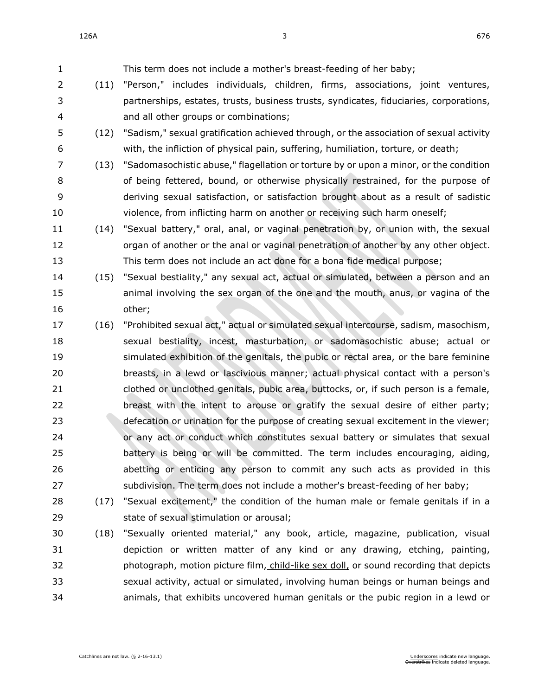| $\mathbf{1}$ |      | This term does not include a mother's breast-feeding of her baby;                      |
|--------------|------|----------------------------------------------------------------------------------------|
| 2            | (11) | "Person," includes individuals, children, firms, associations, joint ventures,         |
| 3            |      | partnerships, estates, trusts, business trusts, syndicates, fiduciaries, corporations, |
| 4            |      | and all other groups or combinations;                                                  |
| 5            | (12) | "Sadism," sexual gratification achieved through, or the association of sexual activity |
| 6            |      | with, the infliction of physical pain, suffering, humiliation, torture, or death;      |
| 7            | (13) | "Sadomasochistic abuse," flagellation or torture by or upon a minor, or the condition  |
| 8            |      | of being fettered, bound, or otherwise physically restrained, for the purpose of       |
| 9            |      | deriving sexual satisfaction, or satisfaction brought about as a result of sadistic    |
| 10           |      | violence, from inflicting harm on another or receiving such harm oneself;              |
| 11           | (14) | "Sexual battery," oral, anal, or vaginal penetration by, or union with, the sexual     |
| 12           |      | organ of another or the anal or vaginal penetration of another by any other object.    |
| 13           |      | This term does not include an act done for a bona fide medical purpose;                |
| 14           | (15) | "Sexual bestiality," any sexual act, actual or simulated, between a person and an      |
| 15           |      | animal involving the sex organ of the one and the mouth, anus, or vagina of the        |
|              |      |                                                                                        |
| 16           |      | other;                                                                                 |
| 17           | (16) | "Prohibited sexual act," actual or simulated sexual intercourse, sadism, masochism,    |
| 18           |      | sexual bestiality, incest, masturbation, or sadomasochistic abuse; actual or           |
| 19           |      | simulated exhibition of the genitals, the pubic or rectal area, or the bare feminine   |
| 20           |      | breasts, in a lewd or lascivious manner; actual physical contact with a person's       |
| 21           |      | clothed or unclothed genitals, pubic area, buttocks, or, if such person is a female,   |
| 22           |      | breast with the intent to arouse or gratify the sexual desire of either party;         |
| 23           |      | defecation or urination for the purpose of creating sexual excitement in the viewer;   |
| 24           |      | or any act or conduct which constitutes sexual battery or simulates that sexual        |
| 25           |      | battery is being or will be committed. The term includes encouraging, aiding,          |
| 26           |      | abetting or enticing any person to commit any such acts as provided in this            |
| 27           |      | subdivision. The term does not include a mother's breast-feeding of her baby;          |
| 28           |      | (17) "Sexual excitement," the condition of the human male or female genitals if in a   |
| 29           |      | state of sexual stimulation or arousal;                                                |
| 30           |      | (18) "Sexually oriented material," any book, article, magazine, publication, visual    |

 depiction or written matter of any kind or any drawing, etching, painting, 32 photograph, motion picture film, child-like sex doll, or sound recording that depicts sexual activity, actual or simulated, involving human beings or human beings and animals, that exhibits uncovered human genitals or the pubic region in a lewd or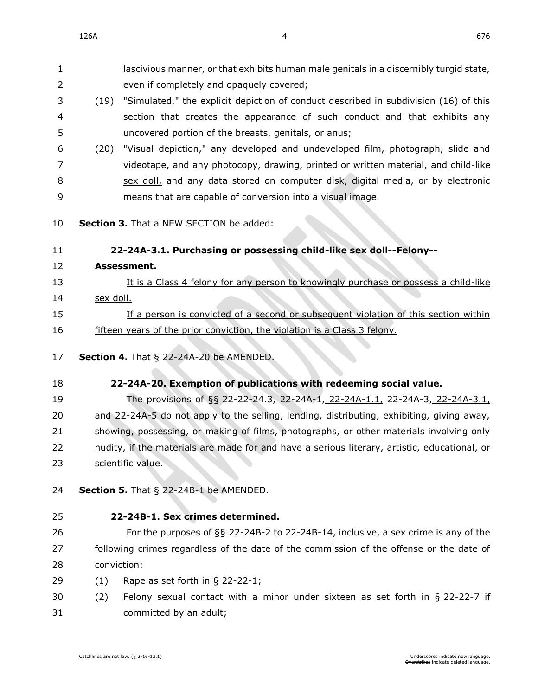**Assessment.**

sex doll.

lascivious manner, or that exhibits human male genitals in a discernibly turgid state,

even if completely and opaquely covered;

 (19) "Simulated," the explicit depiction of conduct described in subdivision (16) of this section that creates the appearance of such conduct and that exhibits any uncovered portion of the breasts, genitals, or anus; (20) "Visual depiction," any developed and undeveloped film, photograph, slide and videotape, and any photocopy, drawing, printed or written material, and child-like sex doll, and any data stored on computer disk, digital media, or by electronic means that are capable of conversion into a visual image. **Section 3.** That a NEW SECTION be added: **22-24A-3.1. Purchasing or possessing child-like sex doll--Felony--** It is a Class 4 felony for any person to knowingly purchase or possess a child-like 15 If a person is convicted of a second or subsequent violation of this section within 16 fifteen years of the prior conviction, the violation is a Class 3 felony. **Section 4.** [That § 22-24A-20 be AMENDED.](https://sdlegislature.gov/Statutes/Codified_Laws/2047431) **[22-24A-20. E](https://sdlegislature.gov/Statutes/Codified_Laws/DisplayStatute.aspx?Type=Statute&Statute=22-24A-20)xemption of publications with redeeming social value.** The provisions of §§ [22-22-24.3,](https://sdlegislature.gov/Statutes/Codified_Laws/DisplayStatute.aspx?Type=Statute&Statute=22-22-24.3) [22-24A-1,](https://sdlegislature.gov/Statutes/Codified_Laws/DisplayStatute.aspx?Type=Statute&Statute=22-24A-1) 22-24A-1.1, [22-24A-3,](https://sdlegislature.gov/Statutes/Codified_Laws/DisplayStatute.aspx?Type=Statute&Statute=22-24A-3) 22-24A-3.1, and [22-24A-5](https://sdlegislature.gov/Statutes/Codified_Laws/DisplayStatute.aspx?Type=Statute&Statute=22-24A-5) do not apply to the selling, lending, distributing, exhibiting, giving away, showing, possessing, or making of films, photographs, or other materials involving only nudity, if the materials are made for and have a serious literary, artistic, educational, or scientific value. **Section 5.** [That § 22-24B-1 be AMENDED.](https://sdlegislature.gov/Statutes/Codified_Laws/2047434) **[22-24B-1. S](https://sdlegislature.gov/Statutes/Codified_Laws/DisplayStatute.aspx?Type=Statute&Statute=22-24B-1)ex crimes determined.** For the purposes of §§ [22-24B-2](https://sdlegislature.gov/Statutes/Codified_Laws/DisplayStatute.aspx?Type=Statute&Statute=22-24B-2) to [22-24B-14,](https://sdlegislature.gov/Statutes/Codified_Laws/DisplayStatute.aspx?Type=Statute&Statute=22-24B-14) inclusive, a sex crime is any of the following crimes regardless of the date of the commission of the offense or the date of (1) Rape as set forth in § [22-22-1;](https://sdlegislature.gov/Statutes/Codified_Laws/DisplayStatute.aspx?Type=Statute&Statute=22-22-1) (2) Felony sexual contact with a minor under sixteen as set forth in § [22-22-7](https://sdlegislature.gov/Statutes/Codified_Laws/DisplayStatute.aspx?Type=Statute&Statute=22-22-7) if committed by an adult;

conviction: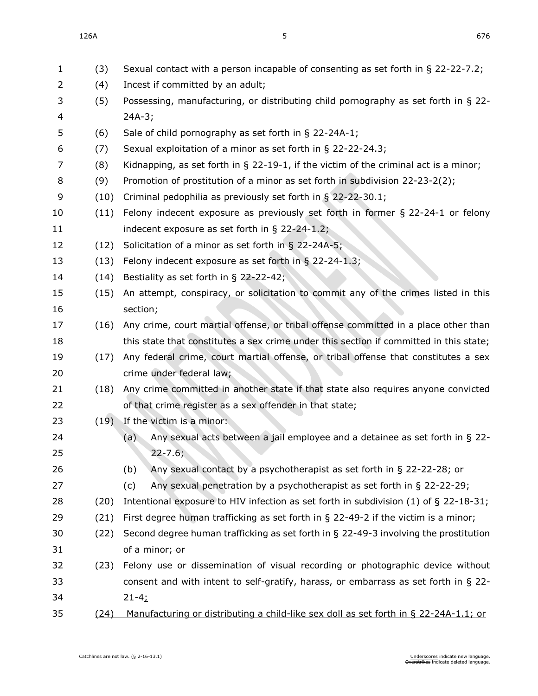| $\mathbf{1}$   | (3)  | Sexual contact with a person incapable of consenting as set forth in § 22-22-7.2;       |  |  |
|----------------|------|-----------------------------------------------------------------------------------------|--|--|
| $\overline{2}$ | (4)  | Incest if committed by an adult;                                                        |  |  |
| 3              | (5)  | Possessing, manufacturing, or distributing child pornography as set forth in § 22-      |  |  |
| 4              |      | $24A-3;$                                                                                |  |  |
| 5              | (6)  | Sale of child pornography as set forth in $\S$ 22-24A-1;                                |  |  |
| 6              | (7)  | Sexual exploitation of a minor as set forth in § 22-22-24.3;                            |  |  |
| 7              | (8)  | Kidnapping, as set forth in $\S$ 22-19-1, if the victim of the criminal act is a minor; |  |  |
| 8              | (9)  | Promotion of prostitution of a minor as set forth in subdivision 22-23-2(2);            |  |  |
| 9              | (10) | Criminal pedophilia as previously set forth in § 22-22-30.1;                            |  |  |
| 10             | (11) | Felony indecent exposure as previously set forth in former $\S$ 22-24-1 or felony       |  |  |
| 11             |      | indecent exposure as set forth in $\S$ 22-24-1.2;                                       |  |  |
| 12             | (12) | Solicitation of a minor as set forth in $\S$ 22-24A-5;                                  |  |  |
| 13             | (13) | Felony indecent exposure as set forth in § 22-24-1.3;                                   |  |  |
| 14             | (14) | Bestiality as set forth in § 22-22-42;                                                  |  |  |
| 15             | (15) | An attempt, conspiracy, or solicitation to commit any of the crimes listed in this      |  |  |
| 16             |      | section;                                                                                |  |  |
| 17             | (16) | Any crime, court martial offense, or tribal offense committed in a place other than     |  |  |
| 18             |      | this state that constitutes a sex crime under this section if committed in this state;  |  |  |
| 19             | (17) | Any federal crime, court martial offense, or tribal offense that constitutes a sex      |  |  |
| 20             |      | crime under federal law;                                                                |  |  |
| 21             | (18) | Any crime committed in another state if that state also requires anyone convicted       |  |  |
| 22             |      | of that crime register as a sex offender in that state;                                 |  |  |
| 23             | (19) | If the victim is a minor:                                                               |  |  |
| 24             |      | Any sexual acts between a jail employee and a detainee as set forth in § 22-<br>(a)     |  |  |
| 25             |      | $22 - 7.6$ ;                                                                            |  |  |
| 26             |      | Any sexual contact by a psychotherapist as set forth in § 22-22-28; or<br>(b)           |  |  |
| 27             |      | Any sexual penetration by a psychotherapist as set forth in $\S$ 22-22-29;<br>(c)       |  |  |
| 28             | (20) | Intentional exposure to HIV infection as set forth in subdivision (1) of $\S$ 22-18-31; |  |  |
| 29             | (21) | First degree human trafficking as set forth in $\S$ 22-49-2 if the victim is a minor;   |  |  |
| 30             | (22) | Second degree human trafficking as set forth in $\S$ 22-49-3 involving the prostitution |  |  |
| 31             |      | of a minor; or                                                                          |  |  |
| 32             | (23) | Felony use or dissemination of visual recording or photographic device without          |  |  |
| 33             |      | consent and with intent to self-gratify, harass, or embarrass as set forth in $\S$ 22-  |  |  |
| 34             |      | $21 - 4;$                                                                               |  |  |
| 35             | (24) | Manufacturing or distributing a child-like sex doll as set forth in § 22-24A-1.1; or    |  |  |